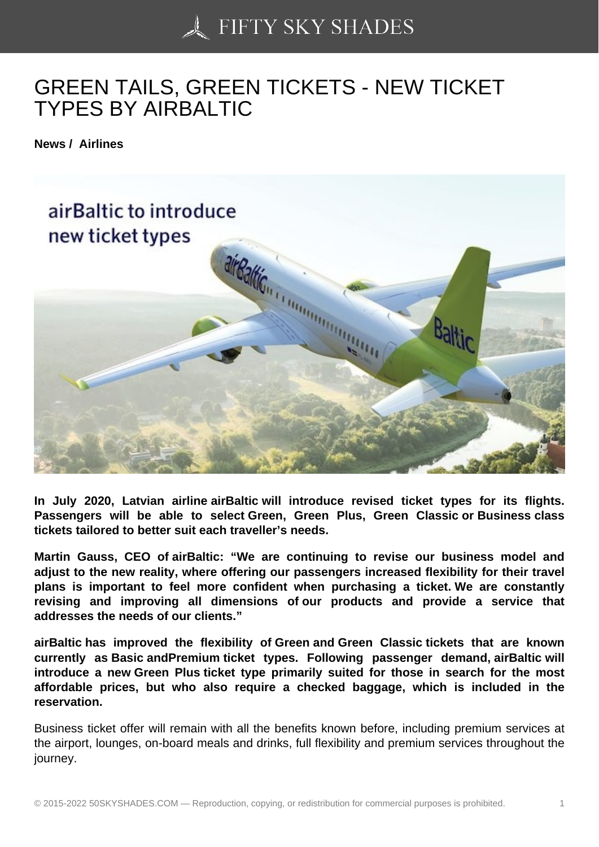## [GREEN TAILS, GREE](https://50skyshades.com)N TICKETS - NEW TICKET TYPES BY AIRBALTIC

News / Airlines

In July 2020, Latvian airline airBaltic will introduce revised ticket types for its flights. Passengers will be able to select Green, Green Plus, Green Classic or Business class tickets tailored to better suit each traveller's needs.

Martin Gauss, CEO of airBaltic: "We are continuing to revise our business model and adjust to the new reality, where offering our passengers increased flexibility for their travel plans is important to feel more confident when purchasing a ticket. We are constantly revising and improving all dimensions of our products and provide a service that addresses the needs of our clients."

airBaltic has improved the flexibility of Green and Green Classic tickets that are known currently as Basic andPremium ticket types. Following passenger demand, airBaltic will introduce a new Green Plus ticket type primarily suited for those in search for the most affordable prices, but who also require a checked baggage, which is included in the reservation.

Business ticket offer will remain with all the benefits known before, including premium services at the airport, lounges, on-board meals and drinks, full flexibility and premium services throughout the journey.